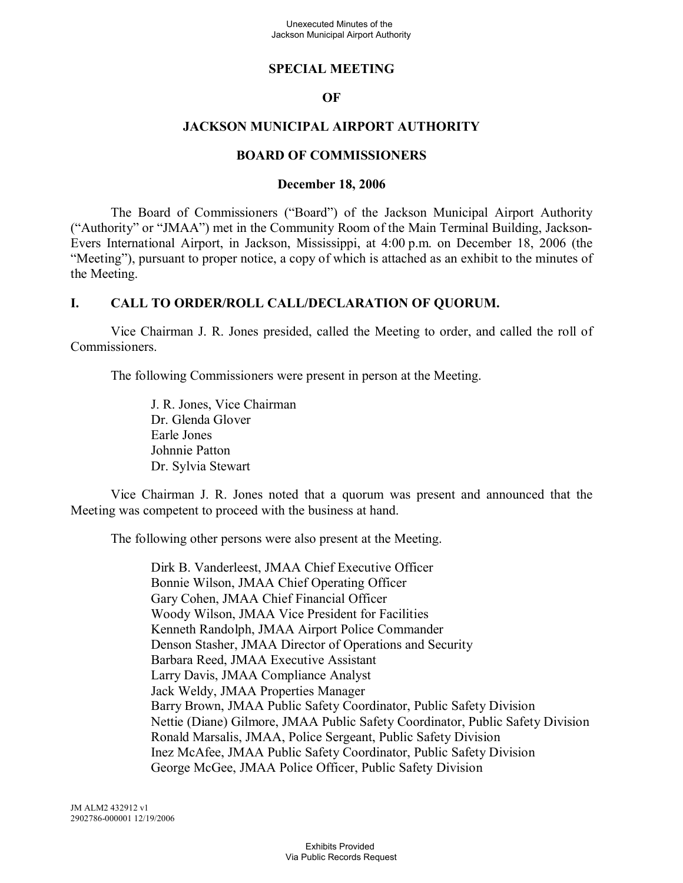### **SPECIAL MEETING**

### **OF**

### **JACKSON MUNICIPAL AIRPORT AUTHORITY**

#### **BOARD OF COMMISSIONERS**

#### **December 18, 2006**

The Board of Commissioners ("Board") of the Jackson Municipal Airport Authority ("Authority" or "JMAA") met in the Community Room of the Main Terminal Building, Jackson-Evers International Airport, in Jackson, Mississippi, at 4:00 p.m. on December 18, 2006 (the "Meeting"), pursuant to proper notice, a copy of which is attached as an exhibit to the minutes of the Meeting.

### **I. CALL TO ORDER/ROLL CALL/DECLARATION OF QUORUM.**

Vice Chairman J. R. Jones presided, called the Meeting to order, and called the roll of Commissioners.

The following Commissioners were present in person at the Meeting.

J. R. Jones, Vice Chairman Dr. Glenda Glover Earle Jones Johnnie Patton Dr. Sylvia Stewart

Vice Chairman J. R. Jones noted that a quorum was present and announced that the Meeting was competent to proceed with the business at hand.

The following other persons were also present at the Meeting.

Dirk B. Vanderleest, JMAA Chief Executive Officer Bonnie Wilson, JMAA Chief Operating Officer Gary Cohen, JMAA Chief Financial Officer Woody Wilson, JMAA Vice President for Facilities Kenneth Randolph, JMAA Airport Police Commander Denson Stasher, JMAA Director of Operations and Security Barbara Reed, JMAA Executive Assistant Larry Davis, JMAA Compliance Analyst Jack Weldy, JMAA Properties Manager Barry Brown, JMAA Public Safety Coordinator, Public Safety Division Nettie (Diane) Gilmore, JMAA Public Safety Coordinator, Public Safety Division Ronald Marsalis, JMAA, Police Sergeant, Public Safety Division Inez McAfee, JMAA Public Safety Coordinator, Public Safety Division George McGee, JMAA Police Officer, Public Safety Division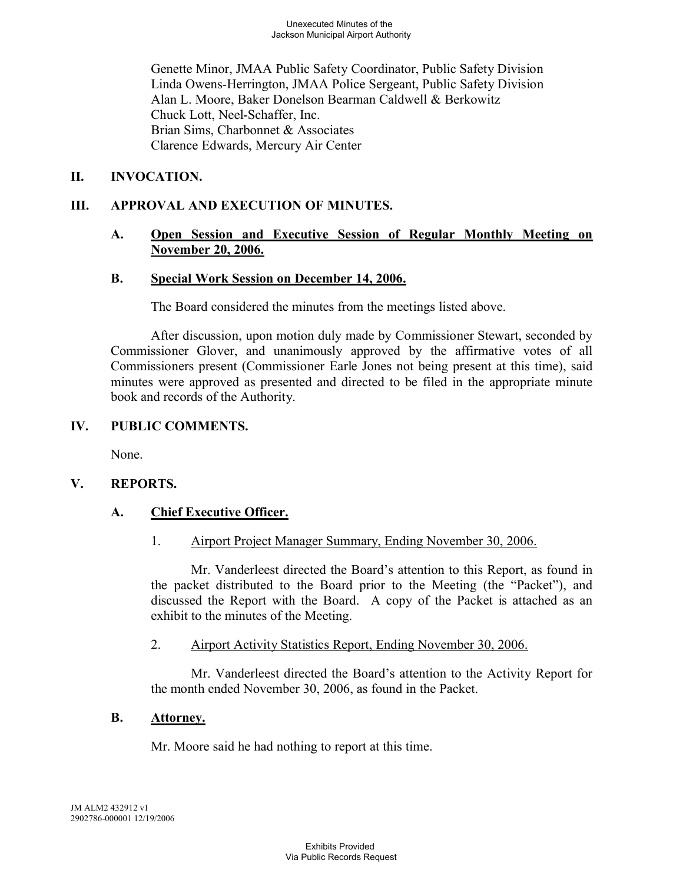Genette Minor, JMAA Public Safety Coordinator, Public Safety Division Linda Owens-Herrington, JMAA Police Sergeant, Public Safety Division Alan L. Moore, Baker Donelson Bearman Caldwell & Berkowitz Chuck Lott, Neel-Schaffer, Inc. Brian Sims, Charbonnet & Associates Clarence Edwards, Mercury Air Center

## **II. INVOCATION.**

## **III. APPROVAL AND EXECUTION OF MINUTES.**

### **A. Open Session and Executive Session of Regular Monthly Meeting on November 20, 2006.**

### **B. Special Work Session on December 14, 2006.**

The Board considered the minutes from the meetings listed above.

After discussion, upon motion duly made by Commissioner Stewart, seconded by Commissioner Glover, and unanimously approved by the affirmative votes of all Commissioners present (Commissioner Earle Jones not being present at this time), said minutes were approved as presented and directed to be filed in the appropriate minute book and records of the Authority.

## **IV. PUBLIC COMMENTS.**

None.

#### **V. REPORTS.**

## **A. Chief Executive Officer.**

1. Airport Project Manager Summary, Ending November 30, 2006.

Mr. Vanderleest directed the Board's attention to this Report, as found in the packet distributed to the Board prior to the Meeting (the "Packet"), and discussed the Report with the Board. A copy of the Packet is attached as an exhibit to the minutes of the Meeting.

#### 2. Airport Activity Statistics Report, Ending November 30, 2006.

Mr. Vanderleest directed the Board's attention to the Activity Report for the month ended November 30, 2006, as found in the Packet.

#### **B. Attorney.**

Mr. Moore said he had nothing to report at this time.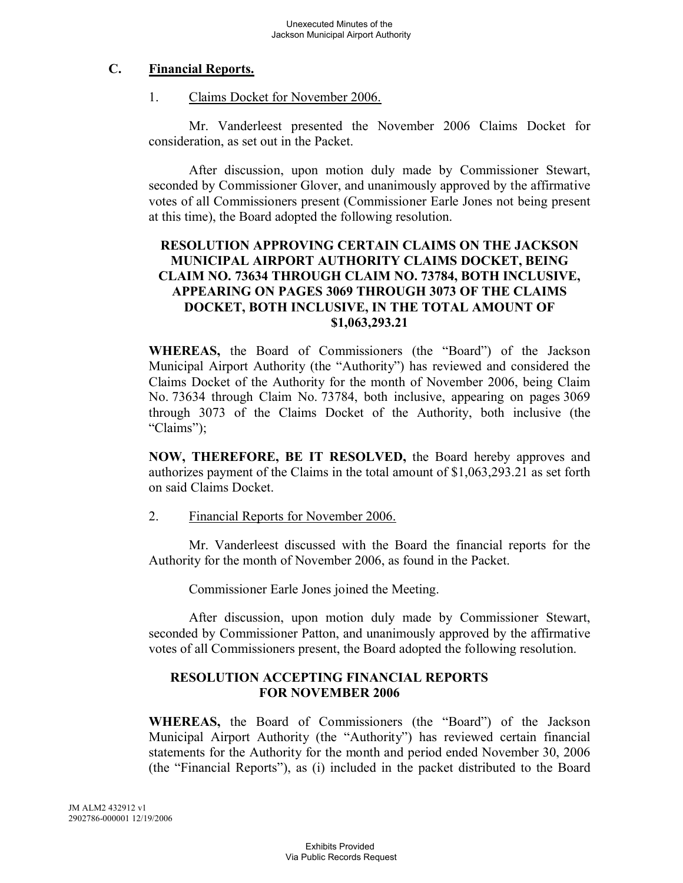### **C. Financial Reports.**

#### 1. Claims Docket for November 2006.

Mr. Vanderleest presented the November 2006 Claims Docket for consideration, as set out in the Packet.

After discussion, upon motion duly made by Commissioner Stewart, seconded by Commissioner Glover, and unanimously approved by the affirmative votes of all Commissioners present (Commissioner Earle Jones not being present at this time), the Board adopted the following resolution.

## **RESOLUTION APPROVING CERTAIN CLAIMS ON THE JACKSON MUNICIPAL AIRPORT AUTHORITY CLAIMS DOCKET, BEING CLAIM NO. 73634 THROUGH CLAIM NO. 73784, BOTH INCLUSIVE, APPEARING ON PAGES 3069 THROUGH 3073 OF THE CLAIMS DOCKET, BOTH INCLUSIVE, IN THE TOTAL AMOUNT OF \$1,063,293.21**

**WHEREAS,** the Board of Commissioners (the "Board") of the Jackson Municipal Airport Authority (the "Authority") has reviewed and considered the Claims Docket of the Authority for the month of November 2006, being Claim No. 73634 through Claim No. 73784, both inclusive, appearing on pages 3069 through 3073 of the Claims Docket of the Authority, both inclusive (the "Claims");

**NOW, THEREFORE, BE IT RESOLVED,** the Board hereby approves and authorizes payment of the Claims in the total amount of \$1,063,293.21 as set forth on said Claims Docket.

#### 2. Financial Reports for November 2006.

Mr. Vanderleest discussed with the Board the financial reports for the Authority for the month of November 2006, as found in the Packet.

Commissioner Earle Jones joined the Meeting.

After discussion, upon motion duly made by Commissioner Stewart, seconded by Commissioner Patton, and unanimously approved by the affirmative votes of all Commissioners present, the Board adopted the following resolution.

#### **RESOLUTION ACCEPTING FINANCIAL REPORTS FOR NOVEMBER 2006**

**WHEREAS,** the Board of Commissioners (the "Board") of the Jackson Municipal Airport Authority (the "Authority") has reviewed certain financial statements for the Authority for the month and period ended November 30, 2006 (the "Financial Reports"), as (i) included in the packet distributed to the Board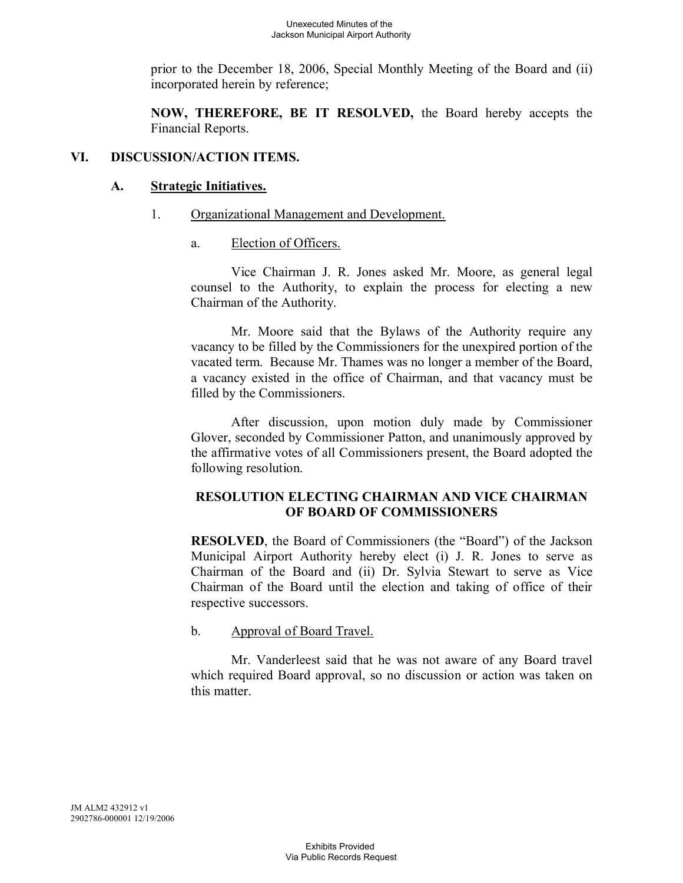prior to the December 18, 2006, Special Monthly Meeting of the Board and (ii) incorporated herein by reference;

**NOW, THEREFORE, BE IT RESOLVED,** the Board hereby accepts the Financial Reports.

## **VI. DISCUSSION/ACTION ITEMS.**

## **A. Strategic Initiatives.**

- 1. Organizational Management and Development.
	- a. Election of Officers.

Vice Chairman J. R. Jones asked Mr. Moore, as general legal counsel to the Authority, to explain the process for electing a new Chairman of the Authority.

Mr. Moore said that the Bylaws of the Authority require any vacancy to be filled by the Commissioners for the unexpired portion of the vacated term. Because Mr. Thames was no longer a member of the Board, a vacancy existed in the office of Chairman, and that vacancy must be filled by the Commissioners.

After discussion, upon motion duly made by Commissioner Glover, seconded by Commissioner Patton, and unanimously approved by the affirmative votes of all Commissioners present, the Board adopted the following resolution.

## **RESOLUTION ELECTING CHAIRMAN AND VICE CHAIRMAN OF BOARD OF COMMISSIONERS**

**RESOLVED**, the Board of Commissioners (the "Board") of the Jackson Municipal Airport Authority hereby elect (i) J. R. Jones to serve as Chairman of the Board and (ii) Dr. Sylvia Stewart to serve as Vice Chairman of the Board until the election and taking of office of their respective successors.

## b. Approval of Board Travel.

Mr. Vanderleest said that he was not aware of any Board travel which required Board approval, so no discussion or action was taken on this matter.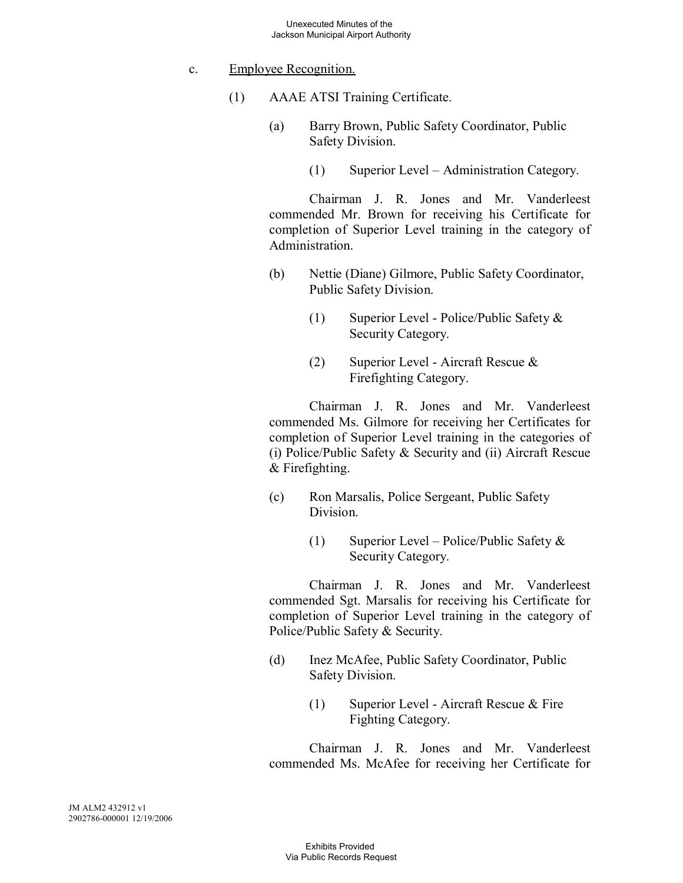- c. Employee Recognition.
	- (1) AAAE ATSI Training Certificate.
		- (a) Barry Brown, Public Safety Coordinator, Public Safety Division.
			- (1) Superior Level Administration Category.

Chairman J. R. Jones and Mr. Vanderleest commended Mr. Brown for receiving his Certificate for completion of Superior Level training in the category of Administration.

- (b) Nettie (Diane) Gilmore, Public Safety Coordinator, Public Safety Division.
	- (1) Superior Level Police/Public Safety & Security Category.
	- (2) Superior Level Aircraft Rescue & Firefighting Category.

Chairman J. R. Jones and Mr. Vanderleest commended Ms. Gilmore for receiving her Certificates for completion of Superior Level training in the categories of (i) Police/Public Safety & Security and (ii) Aircraft Rescue & Firefighting.

- (c) Ron Marsalis, Police Sergeant, Public Safety Division.
	- (1) Superior Level Police/Public Safety & Security Category.

Chairman J. R. Jones and Mr. Vanderleest commended Sgt. Marsalis for receiving his Certificate for completion of Superior Level training in the category of Police/Public Safety & Security.

- (d) Inez McAfee, Public Safety Coordinator, Public Safety Division.
	- (1) Superior Level Aircraft Rescue & Fire Fighting Category.

Chairman J. R. Jones and Mr. Vanderleest commended Ms. McAfee for receiving her Certificate for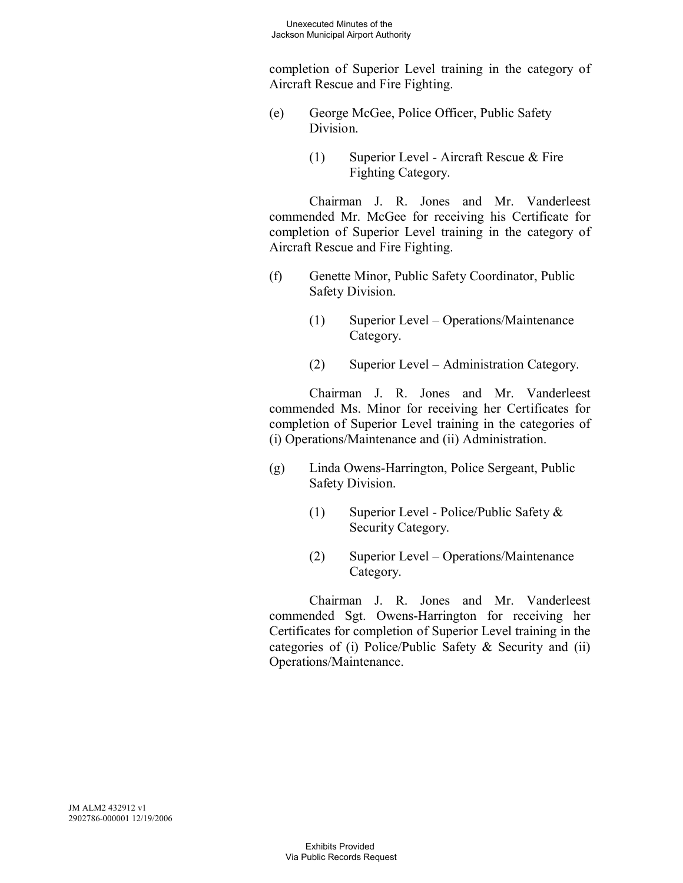completion of Superior Level training in the category of Aircraft Rescue and Fire Fighting.

- (e) George McGee, Police Officer, Public Safety Division.
	- (1) Superior Level Aircraft Rescue & Fire Fighting Category.

Chairman J. R. Jones and Mr. Vanderleest commended Mr. McGee for receiving his Certificate for completion of Superior Level training in the category of Aircraft Rescue and Fire Fighting.

- (f) Genette Minor, Public Safety Coordinator, Public Safety Division.
	- (1) Superior Level Operations/Maintenance Category.
	- (2) Superior Level Administration Category.

Chairman J. R. Jones and Mr. Vanderleest commended Ms. Minor for receiving her Certificates for completion of Superior Level training in the categories of (i) Operations/Maintenance and (ii) Administration.

- (g) Linda Owens-Harrington, Police Sergeant, Public Safety Division.
	- (1) Superior Level Police/Public Safety & Security Category.
	- (2) Superior Level Operations/Maintenance Category.

Chairman J. R. Jones and Mr. Vanderleest commended Sgt. Owens-Harrington for receiving her Certificates for completion of Superior Level training in the categories of (i) Police/Public Safety & Security and (ii) Operations/Maintenance.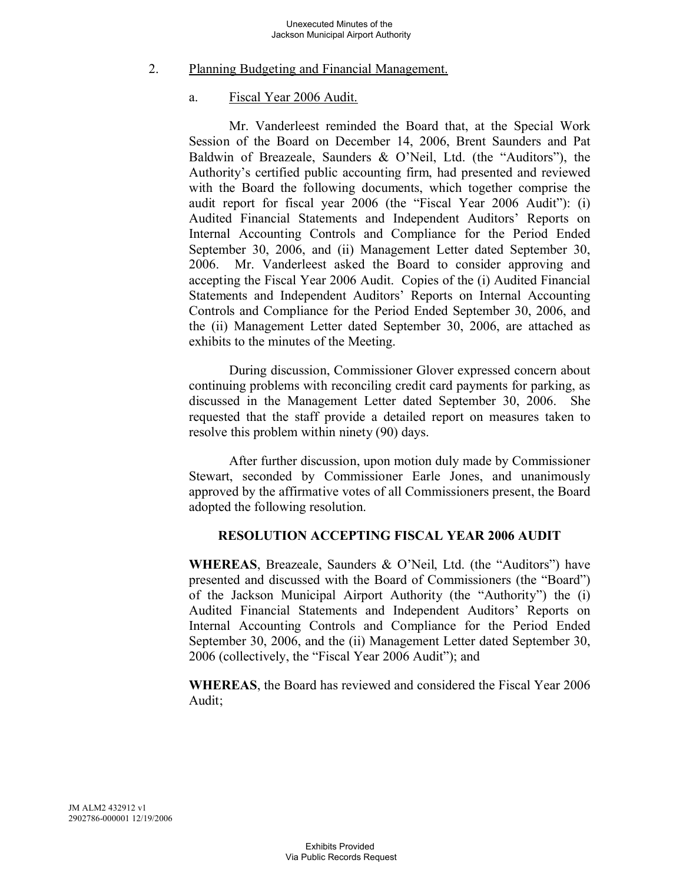### 2. Planning Budgeting and Financial Management.

#### a. Fiscal Year 2006 Audit.

Mr. Vanderleest reminded the Board that, at the Special Work Session of the Board on December 14, 2006, Brent Saunders and Pat Baldwin of Breazeale, Saunders & O'Neil, Ltd. (the "Auditors"), the Authority's certified public accounting firm, had presented and reviewed with the Board the following documents, which together comprise the audit report for fiscal year 2006 (the "Fiscal Year 2006 Audit"): (i) Audited Financial Statements and Independent Auditors' Reports on Internal Accounting Controls and Compliance for the Period Ended September 30, 2006, and (ii) Management Letter dated September 30, 2006. Mr. Vanderleest asked the Board to consider approving and accepting the Fiscal Year 2006 Audit. Copies of the (i) Audited Financial Statements and Independent Auditors' Reports on Internal Accounting Controls and Compliance for the Period Ended September 30, 2006, and the (ii) Management Letter dated September 30, 2006, are attached as exhibits to the minutes of the Meeting.

During discussion, Commissioner Glover expressed concern about continuing problems with reconciling credit card payments for parking, as discussed in the Management Letter dated September 30, 2006. She requested that the staff provide a detailed report on measures taken to resolve this problem within ninety (90) days.

After further discussion, upon motion duly made by Commissioner Stewart, seconded by Commissioner Earle Jones, and unanimously approved by the affirmative votes of all Commissioners present, the Board adopted the following resolution.

# **RESOLUTION ACCEPTING FISCAL YEAR 2006 AUDIT**

**WHEREAS**, Breazeale, Saunders & O'Neil, Ltd. (the "Auditors") have presented and discussed with the Board of Commissioners (the "Board") of the Jackson Municipal Airport Authority (the "Authority") the (i) Audited Financial Statements and Independent Auditors' Reports on Internal Accounting Controls and Compliance for the Period Ended September 30, 2006, and the (ii) Management Letter dated September 30, 2006 (collectively, the "Fiscal Year 2006 Audit"); and

**WHEREAS**, the Board has reviewed and considered the Fiscal Year 2006 Audit;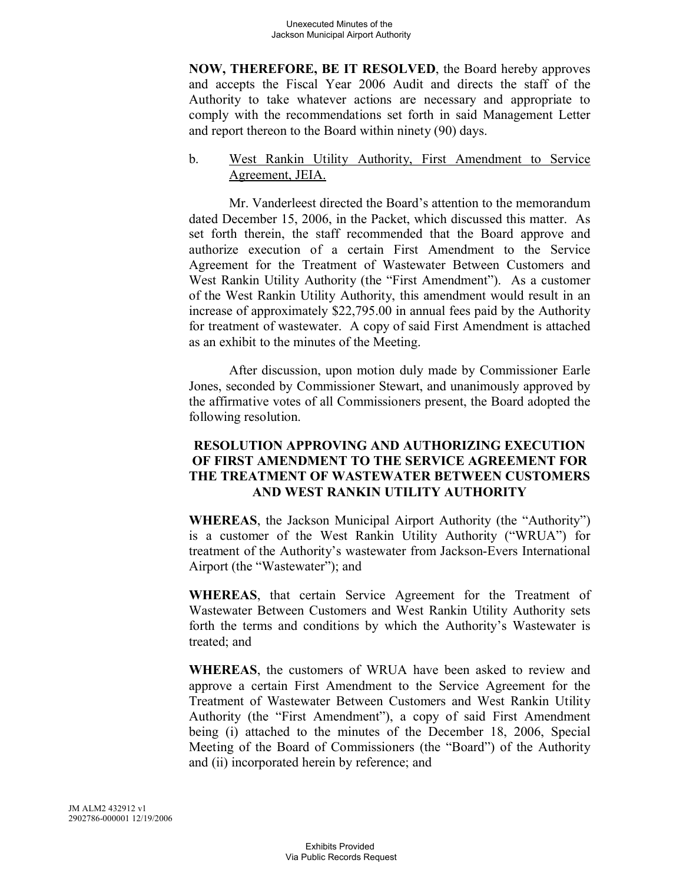**NOW, THEREFORE, BE IT RESOLVED**, the Board hereby approves and accepts the Fiscal Year 2006 Audit and directs the staff of the Authority to take whatever actions are necessary and appropriate to comply with the recommendations set forth in said Management Letter and report thereon to the Board within ninety (90) days.

### b. West Rankin Utility Authority, First Amendment to Service Agreement, JEIA.

Mr. Vanderleest directed the Board's attention to the memorandum dated December 15, 2006, in the Packet, which discussed this matter. As set forth therein, the staff recommended that the Board approve and authorize execution of a certain First Amendment to the Service Agreement for the Treatment of Wastewater Between Customers and West Rankin Utility Authority (the "First Amendment"). As a customer of the West Rankin Utility Authority, this amendment would result in an increase of approximately \$22,795.00 in annual fees paid by the Authority for treatment of wastewater. A copy of said First Amendment is attached as an exhibit to the minutes of the Meeting.

After discussion, upon motion duly made by Commissioner Earle Jones, seconded by Commissioner Stewart, and unanimously approved by the affirmative votes of all Commissioners present, the Board adopted the following resolution.

### **RESOLUTION APPROVING AND AUTHORIZING EXECUTION OF FIRST AMENDMENT TO THE SERVICE AGREEMENT FOR THE TREATMENT OF WASTEWATER BETWEEN CUSTOMERS AND WEST RANKIN UTILITY AUTHORITY**

**WHEREAS**, the Jackson Municipal Airport Authority (the "Authority") is a customer of the West Rankin Utility Authority ("WRUA") for treatment of the Authority's wastewater from Jackson-Evers International Airport (the "Wastewater"); and

**WHEREAS**, that certain Service Agreement for the Treatment of Wastewater Between Customers and West Rankin Utility Authority sets forth the terms and conditions by which the Authority's Wastewater is treated; and

**WHEREAS**, the customers of WRUA have been asked to review and approve a certain First Amendment to the Service Agreement for the Treatment of Wastewater Between Customers and West Rankin Utility Authority (the "First Amendment"), a copy of said First Amendment being (i) attached to the minutes of the December 18, 2006, Special Meeting of the Board of Commissioners (the "Board") of the Authority and (ii) incorporated herein by reference; and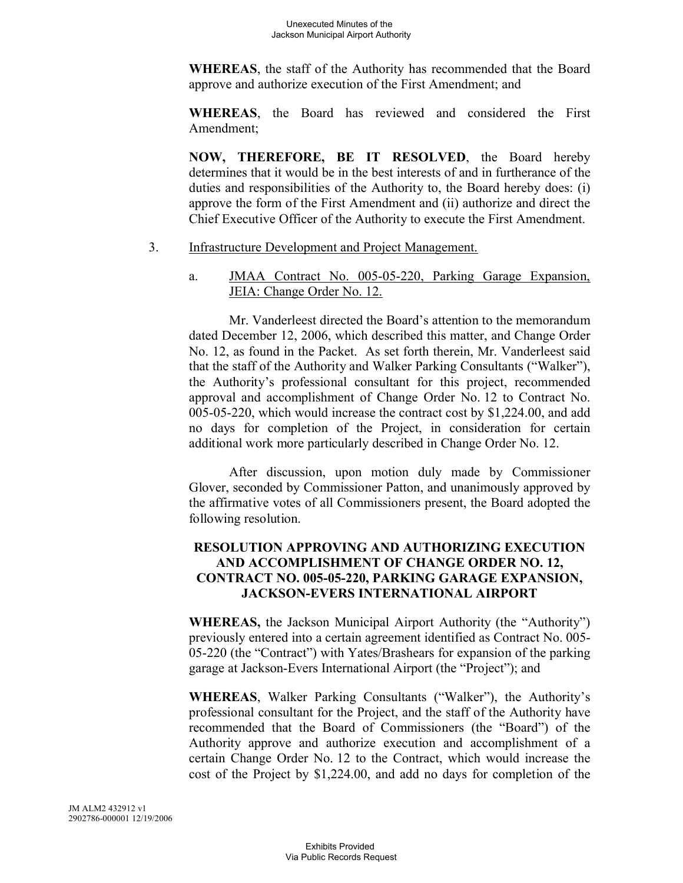**WHEREAS**, the staff of the Authority has recommended that the Board approve and authorize execution of the First Amendment; and

**WHEREAS**, the Board has reviewed and considered the First Amendment;

**NOW, THEREFORE, BE IT RESOLVED**, the Board hereby determines that it would be in the best interests of and in furtherance of the duties and responsibilities of the Authority to, the Board hereby does: (i) approve the form of the First Amendment and (ii) authorize and direct the Chief Executive Officer of the Authority to execute the First Amendment.

#### 3. Infrastructure Development and Project Management.

a. JMAA Contract No. 005-05-220, Parking Garage Expansion, JEIA: Change Order No. 12.

Mr. Vanderleest directed the Board's attention to the memorandum dated December 12, 2006, which described this matter, and Change Order No. 12, as found in the Packet. As set forth therein, Mr. Vanderleest said that the staff of the Authority and Walker Parking Consultants ("Walker"), the Authority's professional consultant for this project, recommended approval and accomplishment of Change Order No. 12 to Contract No. 005-05-220, which would increase the contract cost by \$1,224.00, and add no days for completion of the Project, in consideration for certain additional work more particularly described in Change Order No. 12.

After discussion, upon motion duly made by Commissioner Glover, seconded by Commissioner Patton, and unanimously approved by the affirmative votes of all Commissioners present, the Board adopted the following resolution.

## **RESOLUTION APPROVING AND AUTHORIZING EXECUTION AND ACCOMPLISHMENT OF CHANGE ORDER NO. 12, CONTRACT NO. 005-05-220, PARKING GARAGE EXPANSION, JACKSON-EVERS INTERNATIONAL AIRPORT**

**WHEREAS,** the Jackson Municipal Airport Authority (the "Authority") previously entered into a certain agreement identified as Contract No. 005- 05-220 (the "Contract") with Yates/Brashears for expansion of the parking garage at Jackson-Evers International Airport (the "Project"); and

**WHEREAS**, Walker Parking Consultants ("Walker"), the Authority's professional consultant for the Project, and the staff of the Authority have recommended that the Board of Commissioners (the "Board") of the Authority approve and authorize execution and accomplishment of a certain Change Order No. 12 to the Contract, which would increase the cost of the Project by \$1,224.00, and add no days for completion of the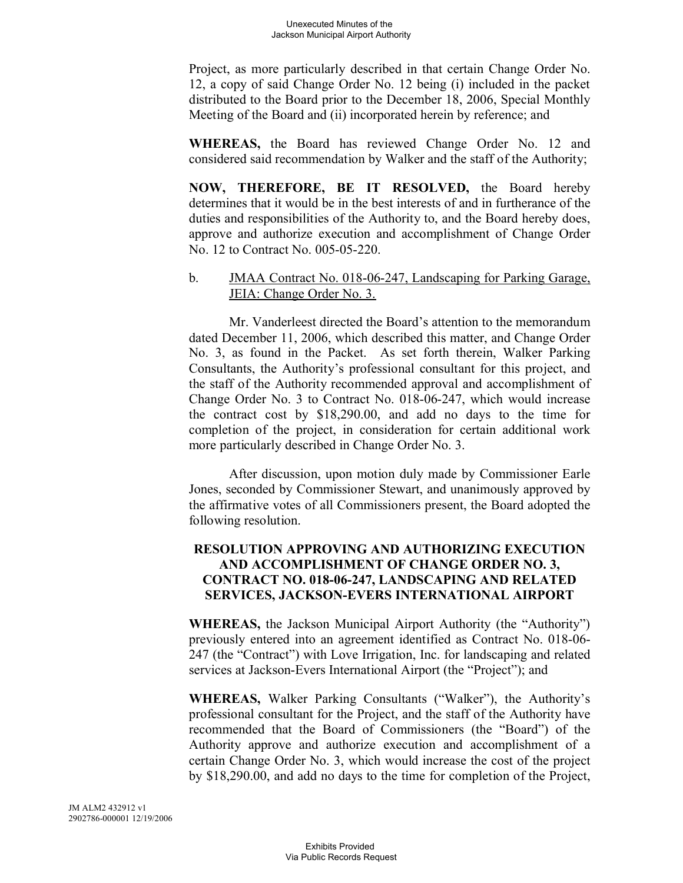Project, as more particularly described in that certain Change Order No. 12, a copy of said Change Order No. 12 being (i) included in the packet distributed to the Board prior to the December 18, 2006, Special Monthly Meeting of the Board and (ii) incorporated herein by reference; and

**WHEREAS,** the Board has reviewed Change Order No. 12 and considered said recommendation by Walker and the staff of the Authority;

**NOW, THEREFORE, BE IT RESOLVED,** the Board hereby determines that it would be in the best interests of and in furtherance of the duties and responsibilities of the Authority to, and the Board hereby does, approve and authorize execution and accomplishment of Change Order No. 12 to Contract No. 005-05-220.

### b. JMAA Contract No. 018-06-247, Landscaping for Parking Garage, JEIA: Change Order No. 3.

Mr. Vanderleest directed the Board's attention to the memorandum dated December 11, 2006, which described this matter, and Change Order No. 3, as found in the Packet. As set forth therein, Walker Parking Consultants, the Authority's professional consultant for this project, and the staff of the Authority recommended approval and accomplishment of Change Order No. 3 to Contract No. 018-06-247, which would increase the contract cost by \$18,290.00, and add no days to the time for completion of the project, in consideration for certain additional work more particularly described in Change Order No. 3.

After discussion, upon motion duly made by Commissioner Earle Jones, seconded by Commissioner Stewart, and unanimously approved by the affirmative votes of all Commissioners present, the Board adopted the following resolution.

## **RESOLUTION APPROVING AND AUTHORIZING EXECUTION AND ACCOMPLISHMENT OF CHANGE ORDER NO. 3, CONTRACT NO. 018-06-247, LANDSCAPING AND RELATED SERVICES, JACKSON-EVERS INTERNATIONAL AIRPORT**

**WHEREAS,** the Jackson Municipal Airport Authority (the "Authority") previously entered into an agreement identified as Contract No. 018-06- 247 (the "Contract") with Love Irrigation, Inc. for landscaping and related services at Jackson-Evers International Airport (the "Project"); and

**WHEREAS,** Walker Parking Consultants ("Walker"), the Authority's professional consultant for the Project, and the staff of the Authority have recommended that the Board of Commissioners (the "Board") of the Authority approve and authorize execution and accomplishment of a certain Change Order No. 3, which would increase the cost of the project by \$18,290.00, and add no days to the time for completion of the Project,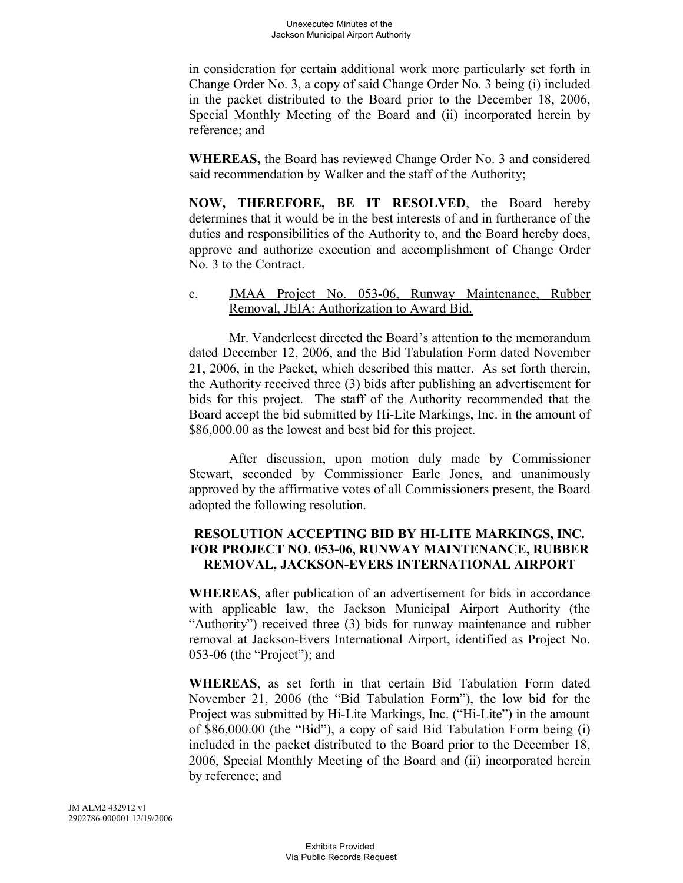in consideration for certain additional work more particularly set forth in Change Order No. 3, a copy of said Change Order No. 3 being (i) included in the packet distributed to the Board prior to the December 18, 2006, Special Monthly Meeting of the Board and (ii) incorporated herein by reference; and

**WHEREAS,** the Board has reviewed Change Order No. 3 and considered said recommendation by Walker and the staff of the Authority;

**NOW, THEREFORE, BE IT RESOLVED**, the Board hereby determines that it would be in the best interests of and in furtherance of the duties and responsibilities of the Authority to, and the Board hereby does, approve and authorize execution and accomplishment of Change Order No. 3 to the Contract.

### c. JMAA Project No. 053-06, Runway Maintenance, Rubber Removal, JEIA: Authorization to Award Bid.

Mr. Vanderleest directed the Board's attention to the memorandum dated December 12, 2006, and the Bid Tabulation Form dated November 21, 2006, in the Packet, which described this matter. As set forth therein, the Authority received three (3) bids after publishing an advertisement for bids for this project. The staff of the Authority recommended that the Board accept the bid submitted by Hi-Lite Markings, Inc. in the amount of \$86,000.00 as the lowest and best bid for this project.

After discussion, upon motion duly made by Commissioner Stewart, seconded by Commissioner Earle Jones, and unanimously approved by the affirmative votes of all Commissioners present, the Board adopted the following resolution.

## **RESOLUTION ACCEPTING BID BY HI-LITE MARKINGS, INC. FOR PROJECT NO. 053-06, RUNWAY MAINTENANCE, RUBBER REMOVAL, JACKSON-EVERS INTERNATIONAL AIRPORT**

**WHEREAS**, after publication of an advertisement for bids in accordance with applicable law, the Jackson Municipal Airport Authority (the "Authority") received three (3) bids for runway maintenance and rubber removal at Jackson-Evers International Airport, identified as Project No. 053-06 (the "Project"); and

**WHEREAS**, as set forth in that certain Bid Tabulation Form dated November 21, 2006 (the "Bid Tabulation Form"), the low bid for the Project was submitted by Hi-Lite Markings, Inc. ("Hi-Lite") in the amount of \$86,000.00 (the "Bid"), a copy of said Bid Tabulation Form being (i) included in the packet distributed to the Board prior to the December 18, 2006, Special Monthly Meeting of the Board and (ii) incorporated herein by reference; and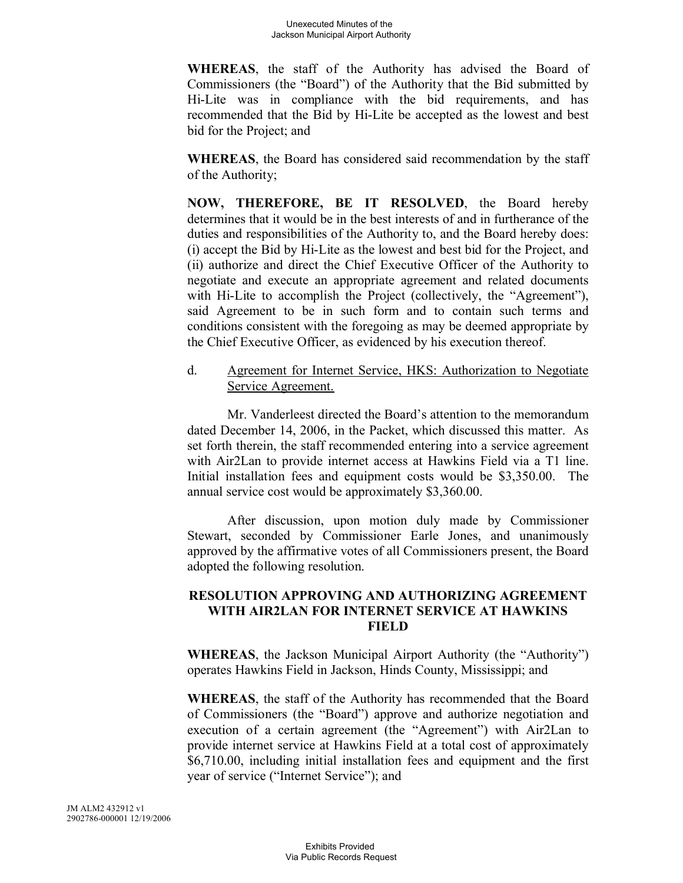**WHEREAS**, the staff of the Authority has advised the Board of Commissioners (the "Board") of the Authority that the Bid submitted by Hi-Lite was in compliance with the bid requirements, and has recommended that the Bid by Hi-Lite be accepted as the lowest and best bid for the Project; and

**WHEREAS**, the Board has considered said recommendation by the staff of the Authority;

**NOW, THEREFORE, BE IT RESOLVED**, the Board hereby determines that it would be in the best interests of and in furtherance of the duties and responsibilities of the Authority to, and the Board hereby does: (i) accept the Bid by Hi-Lite as the lowest and best bid for the Project, and (ii) authorize and direct the Chief Executive Officer of the Authority to negotiate and execute an appropriate agreement and related documents with Hi-Lite to accomplish the Project (collectively, the "Agreement"), said Agreement to be in such form and to contain such terms and conditions consistent with the foregoing as may be deemed appropriate by the Chief Executive Officer, as evidenced by his execution thereof.

d. Agreement for Internet Service, HKS: Authorization to Negotiate Service Agreement.

Mr. Vanderleest directed the Board's attention to the memorandum dated December 14, 2006, in the Packet, which discussed this matter. As set forth therein, the staff recommended entering into a service agreement with Air2Lan to provide internet access at Hawkins Field via a T1 line. Initial installation fees and equipment costs would be \$3,350.00. The annual service cost would be approximately \$3,360.00.

After discussion, upon motion duly made by Commissioner Stewart, seconded by Commissioner Earle Jones, and unanimously approved by the affirmative votes of all Commissioners present, the Board adopted the following resolution.

## **RESOLUTION APPROVING AND AUTHORIZING AGREEMENT WITH AIR2LAN FOR INTERNET SERVICE AT HAWKINS FIELD**

**WHEREAS**, the Jackson Municipal Airport Authority (the "Authority") operates Hawkins Field in Jackson, Hinds County, Mississippi; and

**WHEREAS**, the staff of the Authority has recommended that the Board of Commissioners (the "Board") approve and authorize negotiation and execution of a certain agreement (the "Agreement") with Air2Lan to provide internet service at Hawkins Field at a total cost of approximately \$6,710.00, including initial installation fees and equipment and the first year of service ("Internet Service"); and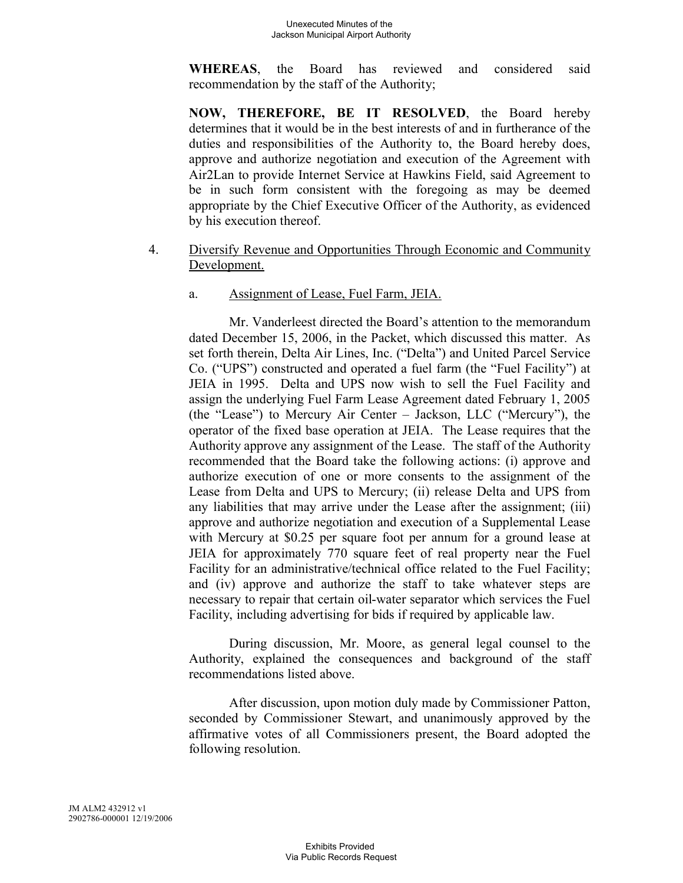**WHEREAS**, the Board has reviewed and considered said recommendation by the staff of the Authority;

**NOW, THEREFORE, BE IT RESOLVED**, the Board hereby determines that it would be in the best interests of and in furtherance of the duties and responsibilities of the Authority to, the Board hereby does, approve and authorize negotiation and execution of the Agreement with Air2Lan to provide Internet Service at Hawkins Field, said Agreement to be in such form consistent with the foregoing as may be deemed appropriate by the Chief Executive Officer of the Authority, as evidenced by his execution thereof.

4. Diversify Revenue and Opportunities Through Economic and Community Development.

#### a. Assignment of Lease, Fuel Farm, JEIA.

Mr. Vanderleest directed the Board's attention to the memorandum dated December 15, 2006, in the Packet, which discussed this matter. As set forth therein, Delta Air Lines, Inc. ("Delta") and United Parcel Service Co. ("UPS") constructed and operated a fuel farm (the "Fuel Facility") at JEIA in 1995. Delta and UPS now wish to sell the Fuel Facility and assign the underlying Fuel Farm Lease Agreement dated February 1, 2005 (the "Lease") to Mercury Air Center – Jackson, LLC ("Mercury"), the operator of the fixed base operation at JEIA. The Lease requires that the Authority approve any assignment of the Lease. The staff of the Authority recommended that the Board take the following actions: (i) approve and authorize execution of one or more consents to the assignment of the Lease from Delta and UPS to Mercury; (ii) release Delta and UPS from any liabilities that may arrive under the Lease after the assignment; (iii) approve and authorize negotiation and execution of a Supplemental Lease with Mercury at \$0.25 per square foot per annum for a ground lease at JEIA for approximately 770 square feet of real property near the Fuel Facility for an administrative/technical office related to the Fuel Facility; and (iv) approve and authorize the staff to take whatever steps are necessary to repair that certain oil-water separator which services the Fuel Facility, including advertising for bids if required by applicable law.

During discussion, Mr. Moore, as general legal counsel to the Authority, explained the consequences and background of the staff recommendations listed above.

After discussion, upon motion duly made by Commissioner Patton, seconded by Commissioner Stewart, and unanimously approved by the affirmative votes of all Commissioners present, the Board adopted the following resolution.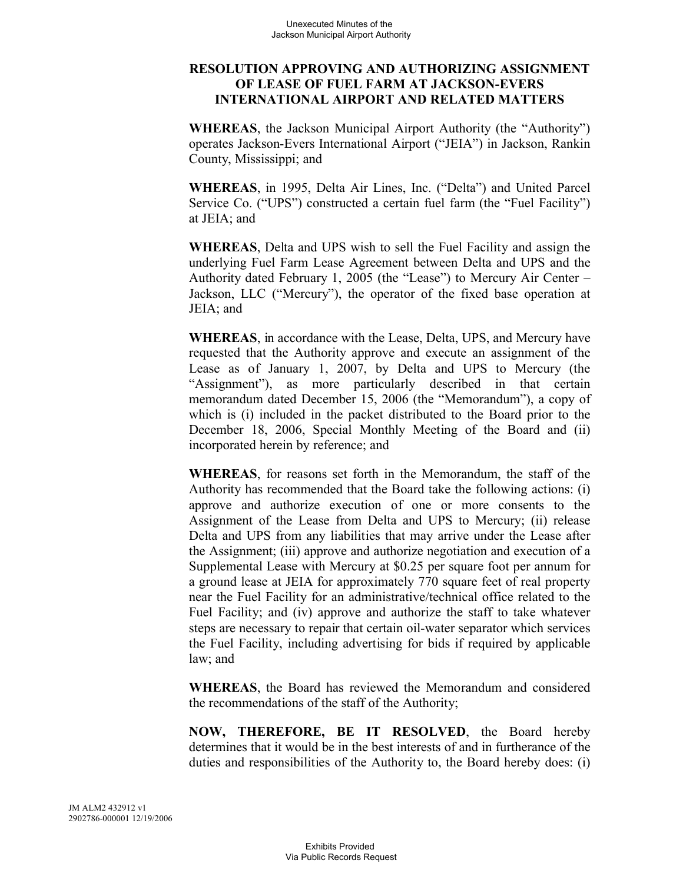## **RESOLUTION APPROVING AND AUTHORIZING ASSIGNMENT OF LEASE OF FUEL FARM AT JACKSON-EVERS INTERNATIONAL AIRPORT AND RELATED MATTERS**

**WHEREAS**, the Jackson Municipal Airport Authority (the "Authority") operates Jackson-Evers International Airport ("JEIA") in Jackson, Rankin County, Mississippi; and

**WHEREAS**, in 1995, Delta Air Lines, Inc. ("Delta") and United Parcel Service Co. ("UPS") constructed a certain fuel farm (the "Fuel Facility") at JEIA; and

**WHEREAS**, Delta and UPS wish to sell the Fuel Facility and assign the underlying Fuel Farm Lease Agreement between Delta and UPS and the Authority dated February 1, 2005 (the "Lease") to Mercury Air Center – Jackson, LLC ("Mercury"), the operator of the fixed base operation at JEIA; and

**WHEREAS**, in accordance with the Lease, Delta, UPS, and Mercury have requested that the Authority approve and execute an assignment of the Lease as of January 1, 2007, by Delta and UPS to Mercury (the "Assignment"), as more particularly described in that certain memorandum dated December 15, 2006 (the "Memorandum"), a copy of which is (i) included in the packet distributed to the Board prior to the December 18, 2006, Special Monthly Meeting of the Board and (ii) incorporated herein by reference; and

**WHEREAS**, for reasons set forth in the Memorandum, the staff of the Authority has recommended that the Board take the following actions: (i) approve and authorize execution of one or more consents to the Assignment of the Lease from Delta and UPS to Mercury; (ii) release Delta and UPS from any liabilities that may arrive under the Lease after the Assignment; (iii) approve and authorize negotiation and execution of a Supplemental Lease with Mercury at \$0.25 per square foot per annum for a ground lease at JEIA for approximately 770 square feet of real property near the Fuel Facility for an administrative/technical office related to the Fuel Facility; and (iv) approve and authorize the staff to take whatever steps are necessary to repair that certain oil-water separator which services the Fuel Facility, including advertising for bids if required by applicable law; and

**WHEREAS**, the Board has reviewed the Memorandum and considered the recommendations of the staff of the Authority;

**NOW, THEREFORE, BE IT RESOLVED**, the Board hereby determines that it would be in the best interests of and in furtherance of the duties and responsibilities of the Authority to, the Board hereby does: (i)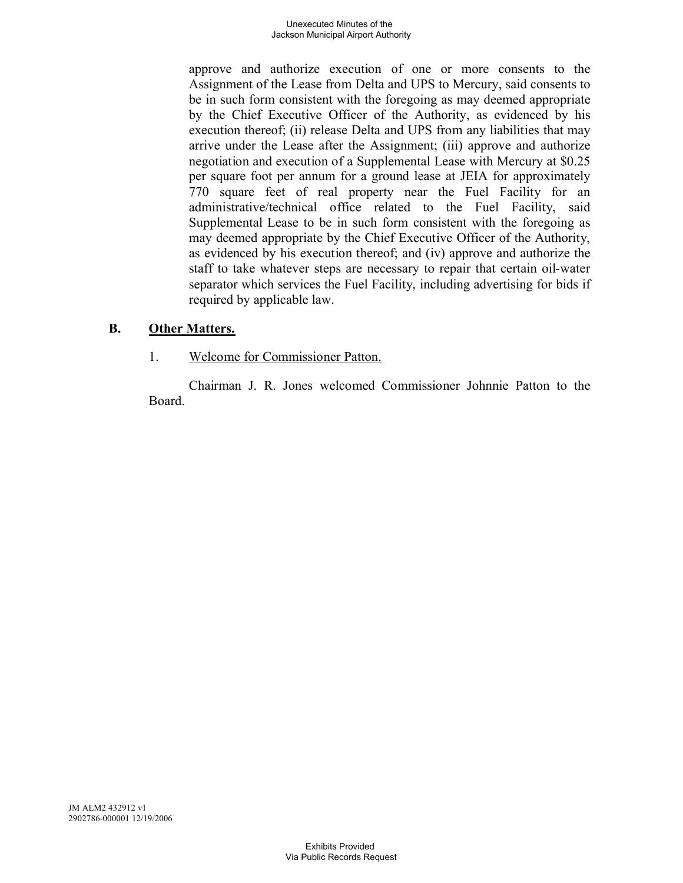approve and authorize execution of one or more consents to the Assignment of the Lease from Delta and UPS to Mercury, said consents to be in such form consistent with the foregoing as may deemed appropriate by the Chief Executive Officer of the Authority, as evidenced by his execution thereof; (ii) release Delta and UPS from any liabilities that may arrive under the Lease after the Assignment; (iii) approve and authorize negotiation and execution of a Supplemental Lease with Mercury at \$0.25 per square foot per annum for a ground lease at JEIA for approximately 770 square feet of real property near the Fuel Facility for an administrative/technical office related to the Fuel Facility, said Supplemental Lease to be in such form consistent with the foregoing as may deemed appropriate by the Chief Executive Officer of the Authority, as evidenced by his execution thereof; and (iv) approve and authorize the staff to take whatever steps are necessary to repair that certain oil-water separator which services the Fuel Facility, including advertising for bids if required by applicable law.

## **B. Other Matters.**

## 1. Welcome for Commissioner Patton.

Chairman J. R. Jones welcomed Commissioner Johnnie Patton to the Board.